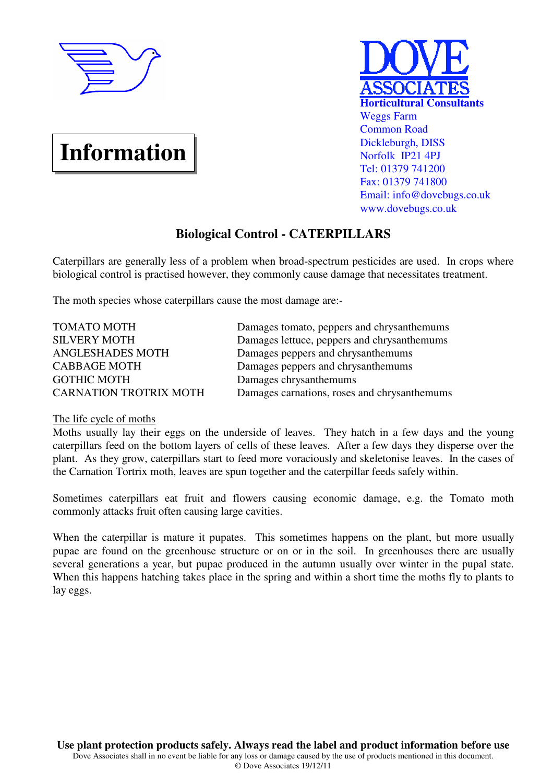

# **Information**



# **Biological Control - CATERPILLARS**

Caterpillars are generally less of a problem when broad-spectrum pesticides are used. In crops where biological control is practised however, they commonly cause damage that necessitates treatment.

The moth species whose caterpillars cause the most damage are:-

| <b>TOMATO MOTH</b>            | Damages tomato, peppers and chrysanthemums   |
|-------------------------------|----------------------------------------------|
| <b>SILVERY MOTH</b>           | Damages lettuce, peppers and chrysanthemums  |
| ANGLESHADES MOTH              | Damages peppers and chrysanthemums           |
| <b>CABBAGE MOTH</b>           | Damages peppers and chrysanthemums           |
| <b>GOTHIC MOTH</b>            | Damages chrysanthemums                       |
| <b>CARNATION TROTRIX MOTH</b> | Damages carnations, roses and chrysanthemums |

## The life cycle of moths

Moths usually lay their eggs on the underside of leaves. They hatch in a few days and the young caterpillars feed on the bottom layers of cells of these leaves. After a few days they disperse over the plant. As they grow, caterpillars start to feed more voraciously and skeletonise leaves. In the cases of the Carnation Tortrix moth, leaves are spun together and the caterpillar feeds safely within.

Sometimes caterpillars eat fruit and flowers causing economic damage, e.g. the Tomato moth commonly attacks fruit often causing large cavities.

When the caterpillar is mature it pupates. This sometimes happens on the plant, but more usually pupae are found on the greenhouse structure or on or in the soil. In greenhouses there are usually several generations a year, but pupae produced in the autumn usually over winter in the pupal state. When this happens hatching takes place in the spring and within a short time the moths fly to plants to lay eggs.